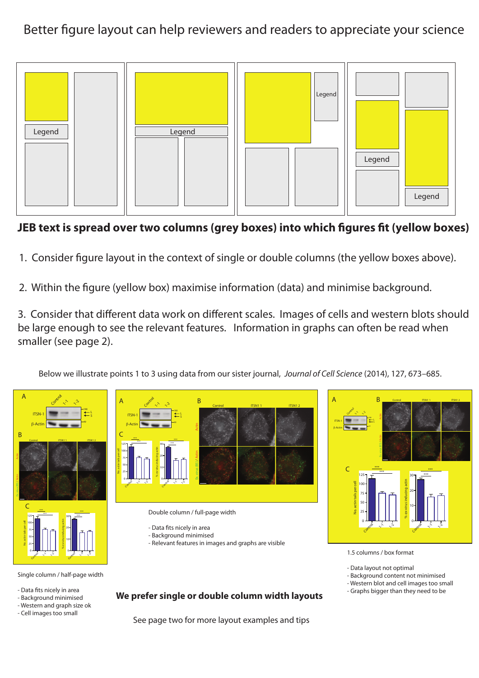Better figure layout can help reviewers and readers to appreciate your science



## **JEB** text is spread over two columns (grey boxes) into which figures fit (yellow boxes)

- 1. Consider figure layout in the context of single or double columns (the yellow boxes above).
- 2. Within the figure (yellow box) maximise information (data) and minimise background.

3. Consider that different data work on different scales. Images of cells and western blots should be large enough to see the relevant features. Information in graphs can often be read when smaller (see page 2).

Below we illustrate points 1 to 3 using data from our sister journal, *Journal of Cell Science* (2014), 127, 673–685.



Single column / half-page width

- Data fits nicely in area
- Background minimised
- Western and graph size ok
- Cell images too small

**We prefer single or double column width layouts**

Ex. virus (B5) / Actin Actin Control ITSN11 ITSN1 2 ITSN-1 β-Actin Control  $\sim$  $\sim$ <sup>2</sup> 188 A B  $\epsilon$ **0 25 50 75 100 125** No. actin tails per cell  $\mathsf{C}$ 50 75 100 125 25 Control  $\sim$  $\lambda^2$ \*\*\* \*\*\* 0 10 20 30 Control  $\sim$  $\sim$ % ex-virus inducing actin 0 10 20 30 \*\*\* \*\*\*

1.5 columns / box format

- Data layout not optimal
- Background content not minimised
- Western blot and cell images too small
- Graphs bigger than they need to be

See page two for more layout examples and tips